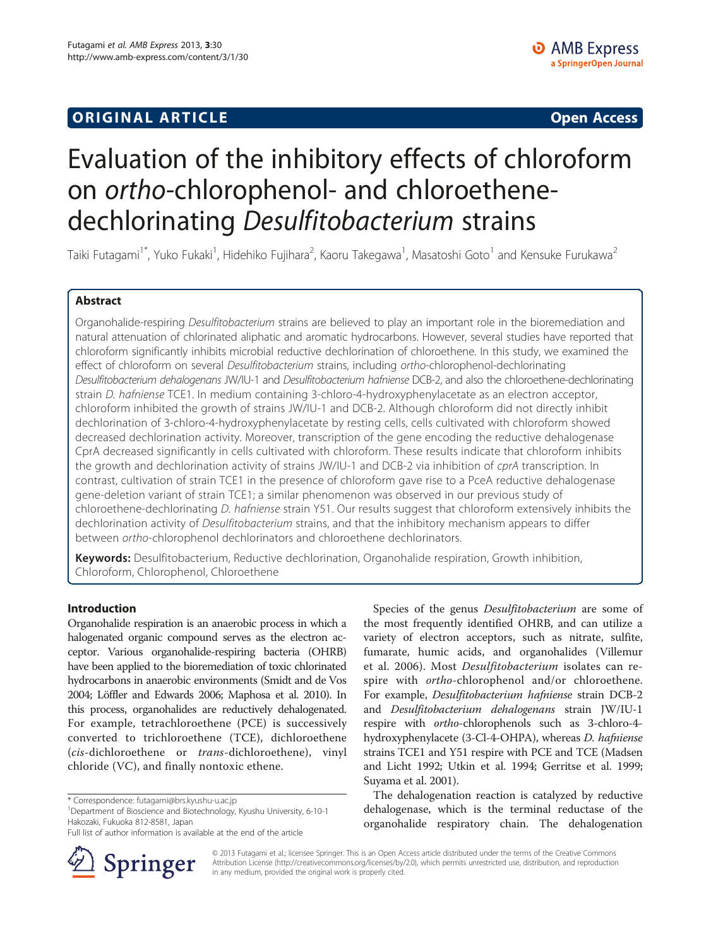## **ORIGINAL ARTICLE CONSUMING A LIGACION** CONSUMING A LIGACION CONSUMING A LIGACION CONSUMING A LIGACION CONSUMING A LIGACION CONSUMING A LIGACION CONSUMING A LIGACION CONSUMING A LIGACION CONSUMING A LIGACION CONSUMING A

# Evaluation of the inhibitory effects of chloroform on ortho-chlorophenol- and chloroethenedechlorinating Desulfitobacterium strains

Taiki Futagami<sup>1\*</sup>, Yuko Fukaki<sup>1</sup>, Hidehiko Fujihara<sup>2</sup>, Kaoru Takegawa<sup>1</sup>, Masatoshi Goto<sup>1</sup> and Kensuke Furukawa<sup>2</sup>

## Abstract

Organohalide-respiring Desulfitobacterium strains are believed to play an important role in the bioremediation and natural attenuation of chlorinated aliphatic and aromatic hydrocarbons. However, several studies have reported that chloroform significantly inhibits microbial reductive dechlorination of chloroethene. In this study, we examined the effect of chloroform on several Desulfitobacterium strains, including ortho-chlorophenol-dechlorinating Desulfitobacterium dehalogenans JW/IU-1 and Desulfitobacterium hafniense DCB-2, and also the chloroethene-dechlorinating strain D. hafniense TCE1. In medium containing 3-chloro-4-hydroxyphenylacetate as an electron acceptor, chloroform inhibited the growth of strains JW/IU-1 and DCB-2. Although chloroform did not directly inhibit dechlorination of 3-chloro-4-hydroxyphenylacetate by resting cells, cells cultivated with chloroform showed decreased dechlorination activity. Moreover, transcription of the gene encoding the reductive dehalogenase CprA decreased significantly in cells cultivated with chloroform. These results indicate that chloroform inhibits the growth and dechlorination activity of strains JW/IU-1 and DCB-2 via inhibition of cprA transcription. In contrast, cultivation of strain TCE1 in the presence of chloroform gave rise to a PceA reductive dehalogenase gene-deletion variant of strain TCE1; a similar phenomenon was observed in our previous study of chloroethene-dechlorinating D. hafniense strain Y51. Our results suggest that chloroform extensively inhibits the dechlorination activity of Desulfitobacterium strains, and that the inhibitory mechanism appears to differ between ortho-chlorophenol dechlorinators and chloroethene dechlorinators.

Keywords: Desulfitobacterium, Reductive dechlorination, Organohalide respiration, Growth inhibition, Chloroform, Chlorophenol, Chloroethene

#### Introduction

Organohalide respiration is an anaerobic process in which a halogenated organic compound serves as the electron acceptor. Various organohalide-respiring bacteria (OHRB) have been applied to the bioremediation of toxic chlorinated hydrocarbons in anaerobic environments (Smidt and de Vos [2004](#page-7-0); Löffler and Edwards [2006;](#page-7-0) Maphosa et al. [2010](#page-7-0)). In this process, organohalides are reductively dehalogenated. For example, tetrachloroethene (PCE) is successively converted to trichloroethene (TCE), dichloroethene (cis-dichloroethene or trans-dichloroethene), vinyl chloride (VC), and finally nontoxic ethene.

Department of Bioscience and Biotechnology, Kyushu University, 6-10-1 Hakozaki, Fukuoka 812-8581, Japan

Full list of author information is available at the end of the article



Species of the genus Desulfitobacterium are some of the most frequently identified OHRB, and can utilize a variety of electron acceptors, such as nitrate, sulfite, fumarate, humic acids, and organohalides (Villemur et al. [2006](#page-7-0)). Most Desulfitobacterium isolates can respire with ortho-chlorophenol and/or chloroethene. For example, Desulfitobacterium hafniense strain DCB-2 and Desulfitobacterium dehalogenans strain JW/IU-1 respire with ortho-chlorophenols such as 3-chloro-4 hydroxyphenylacete (3-Cl-4-OHPA), whereas D. hafniense strains TCE1 and Y51 respire with PCE and TCE (Madsen and Licht [1992;](#page-7-0) Utkin et al. [1994;](#page-7-0) Gerritse et al. [1999](#page-6-0); Suyama et al. [2001](#page-7-0)).

The dehalogenation reaction is catalyzed by reductive dehalogenase, which is the terminal reductase of the organohalide respiratory chain. The dehalogenation

© 2013 Futagami et al.; licensee Springer. This is an Open Access article distributed under the terms of the Creative Commons Attribution License [\(http://creativecommons.org/licenses/by/2.0\)](http://creativecommons.org/licenses/by/2.0), which permits unrestricted use, distribution, and reproduction in any medium, provided the original work is properly cited.

<sup>\*</sup> Correspondence: [futagami@brs.kyushu-u.ac.jp](mailto:futagami@brs.kyushu-u.ac.jp) <sup>1</sup>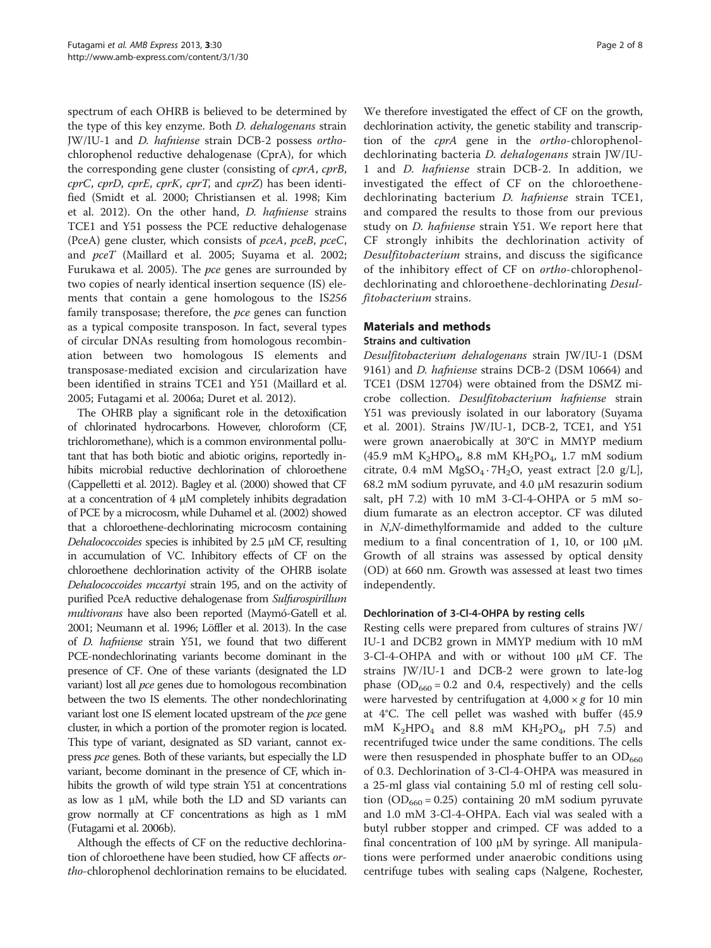spectrum of each OHRB is believed to be determined by the type of this key enzyme. Both D. dehalogenans strain JW/IU-1 and D. hafniense strain DCB-2 possess orthochlorophenol reductive dehalogenase (CprA), for which the corresponding gene cluster (consisting of cprA, cprB, cprC, cprD, cprE, cprK, cprT, and cprZ) has been identified (Smidt et al. [2000;](#page-7-0) Christiansen et al. [1998](#page-6-0); Kim et al. [2012\)](#page-6-0). On the other hand, D. hafniense strains TCE1 and Y51 possess the PCE reductive dehalogenase (PceA) gene cluster, which consists of pceA, pceB, pceC, and pceT (Maillard et al. [2005](#page-7-0); Suyama et al. [2002](#page-7-0); Furukawa et al. [2005](#page-6-0)). The pce genes are surrounded by two copies of nearly identical insertion sequence (IS) elements that contain a gene homologous to the IS256 family transposase; therefore, the *pce* genes can function as a typical composite transposon. In fact, several types of circular DNAs resulting from homologous recombination between two homologous IS elements and transposase-mediated excision and circularization have been identified in strains TCE1 and Y51 (Maillard et al. [2005](#page-7-0); Futagami et al. [2006a;](#page-6-0) Duret et al. [2012\)](#page-6-0).

The OHRB play a significant role in the detoxification of chlorinated hydrocarbons. However, chloroform (CF, trichloromethane), which is a common environmental pollutant that has both biotic and abiotic origins, reportedly inhibits microbial reductive dechlorination of chloroethene (Cappelletti et al. [2012](#page-6-0)). Bagley et al. [\(2000\)](#page-6-0) showed that CF at a concentration of  $4 \mu M$  completely inhibits degradation of PCE by a microcosm, while Duhamel et al. [\(2002\)](#page-6-0) showed that a chloroethene-dechlorinating microcosm containing Dehalococcoides species is inhibited by 2.5 μM CF, resulting in accumulation of VC. Inhibitory effects of CF on the chloroethene dechlorination activity of the OHRB isolate Dehalococcoides mccartyi strain 195, and on the activity of purified PceA reductive dehalogenase from Sulfurospirillum multivorans have also been reported (Maymó-Gatell et al. [2001](#page-7-0); Neumann et al. [1996;](#page-7-0) Löffler et al. [2013\)](#page-7-0). In the case of D. hafniense strain Y51, we found that two different PCE-nondechlorinating variants become dominant in the presence of CF. One of these variants (designated the LD variant) lost all pce genes due to homologous recombination between the two IS elements. The other nondechlorinating variant lost one IS element located upstream of the *pce* gene cluster, in which a portion of the promoter region is located. This type of variant, designated as SD variant, cannot express *pce* genes. Both of these variants, but especially the LD variant, become dominant in the presence of CF, which inhibits the growth of wild type strain Y51 at concentrations as low as 1 μM, while both the LD and SD variants can grow normally at CF concentrations as high as 1 mM (Futagami et al. [2006b](#page-6-0)).

Although the effects of CF on the reductive dechlorination of chloroethene have been studied, how CF affects ortho-chlorophenol dechlorination remains to be elucidated.

We therefore investigated the effect of CF on the growth, dechlorination activity, the genetic stability and transcription of the cprA gene in the ortho-chlorophenoldechlorinating bacteria D. dehalogenans strain JW/IU-1 and D. hafniense strain DCB-2. In addition, we investigated the effect of CF on the chloroethenedechlorinating bacterium *D. hafniense* strain TCE1, and compared the results to those from our previous study on *D. hafniense* strain Y51. We report here that CF strongly inhibits the dechlorination activity of Desulfitobacterium strains, and discuss the sigificance of the inhibitory effect of CF on ortho-chlorophenoldechlorinating and chloroethene-dechlorinating Desulfitobacterium strains.

## Materials and methods

#### Strains and cultivation

Desulfitobacterium dehalogenans strain JW/IU-1 (DSM 9161) and D. hafniense strains DCB-2 (DSM 10664) and TCE1 (DSM 12704) were obtained from the DSMZ microbe collection. Desulfitobacterium hafniense strain Y51 was previously isolated in our laboratory (Suyama et al. [2001](#page-7-0)). Strains JW/IU-1, DCB-2, TCE1, and Y51 were grown anaerobically at 30°C in MMYP medium (45.9 mM K<sub>2</sub>HPO<sub>4</sub>, 8.8 mM KH<sub>2</sub>PO<sub>4</sub>, 1.7 mM sodium citrate, 0.4 mM  $MgSO<sub>4</sub> \cdot 7H<sub>2</sub>O$ , yeast extract [2.0 g/L], 68.2 mM sodium pyruvate, and 4.0 μM resazurin sodium salt, pH 7.2) with 10 mM 3-Cl-4-OHPA or 5 mM sodium fumarate as an electron acceptor. CF was diluted in N,N-dimethylformamide and added to the culture medium to a final concentration of 1, 10, or 100 μM. Growth of all strains was assessed by optical density (OD) at 660 nm. Growth was assessed at least two times independently.

#### Dechlorination of 3-Cl-4-OHPA by resting cells

Resting cells were prepared from cultures of strains JW/ IU-1 and DCB2 grown in MMYP medium with 10 mM 3-Cl-4-OHPA and with or without 100 μM CF. The strains JW/IU-1 and DCB-2 were grown to late-log phase  $(OD_{660} = 0.2$  and 0.4, respectively) and the cells were harvested by centrifugation at  $4,000 \times g$  for 10 min at 4°C. The cell pellet was washed with buffer (45.9 mM  $K_2HPO_4$  and 8.8 mM  $KH_2PO_4$ , pH 7.5) and recentrifuged twice under the same conditions. The cells were then resuspended in phosphate buffer to an  $OD_{660}$ of 0.3. Dechlorination of 3-Cl-4-OHPA was measured in a 25-ml glass vial containing 5.0 ml of resting cell solution  $(OD_{660} = 0.25)$  containing 20 mM sodium pyruvate and 1.0 mM 3-Cl-4-OHPA. Each vial was sealed with a butyl rubber stopper and crimped. CF was added to a final concentration of 100 μM by syringe. All manipulations were performed under anaerobic conditions using centrifuge tubes with sealing caps (Nalgene, Rochester,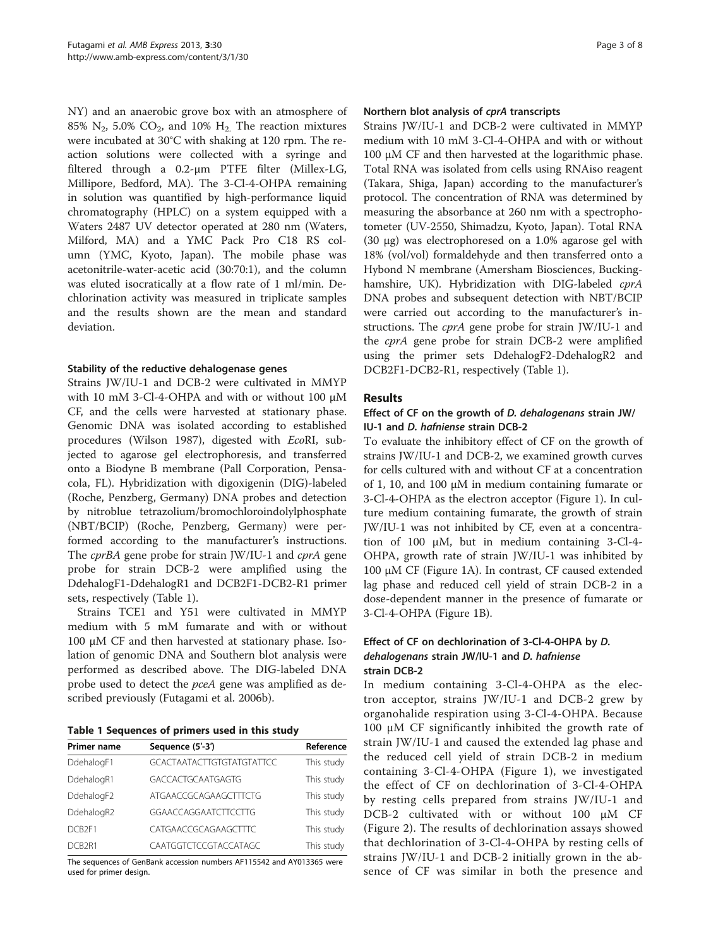NY) and an anaerobic grove box with an atmosphere of 85%  $N_2$ , 5.0%  $CO_2$ , and 10%  $H_2$ . The reaction mixtures were incubated at 30°C with shaking at 120 rpm. The reaction solutions were collected with a syringe and filtered through a 0.2-μm PTFE filter (Millex-LG, Millipore, Bedford, MA). The 3-Cl-4-OHPA remaining in solution was quantified by high-performance liquid chromatography (HPLC) on a system equipped with a Waters 2487 UV detector operated at 280 nm (Waters, Milford, MA) and a YMC Pack Pro C18 RS column (YMC, Kyoto, Japan). The mobile phase was acetonitrile-water-acetic acid (30:70:1), and the column was eluted isocratically at a flow rate of 1 ml/min. Dechlorination activity was measured in triplicate samples and the results shown are the mean and standard deviation.

#### Stability of the reductive dehalogenase genes

Strains JW/IU-1 and DCB-2 were cultivated in MMYP with 10 mM 3-Cl-4-OHPA and with or without 100 μM CF, and the cells were harvested at stationary phase. Genomic DNA was isolated according to established procedures (Wilson [1987](#page-7-0)), digested with EcoRI, subjected to agarose gel electrophoresis, and transferred onto a Biodyne B membrane (Pall Corporation, Pensacola, FL). Hybridization with digoxigenin (DIG)-labeled (Roche, Penzberg, Germany) DNA probes and detection by nitroblue tetrazolium/bromochloroindolylphosphate (NBT/BCIP) (Roche, Penzberg, Germany) were performed according to the manufacturer's instructions. The *cprBA* gene probe for strain JW/IU-1 and *cprA* gene probe for strain DCB-2 were amplified using the DdehalogF1-DdehalogR1 and DCB2F1-DCB2-R1 primer sets, respectively (Table 1).

Strains TCE1 and Y51 were cultivated in MMYP medium with 5 mM fumarate and with or without 100 μM CF and then harvested at stationary phase. Isolation of genomic DNA and Southern blot analysis were performed as described above. The DIG-labeled DNA probe used to detect the pceA gene was amplified as described previously (Futagami et al. [2006b\)](#page-6-0).

Table 1 Sequences of primers used in this study

| <b>Primer name</b> | Sequence (5'-3')                 | Reference  |
|--------------------|----------------------------------|------------|
| DdehalogF1         | <b>GCACTAATACTTGTGTATGTATTCC</b> | This study |
| DdehalogR1         | <b>GACCACTGCAATGAGTG</b>         | This study |
| DdehalogF2         | ATGAACCGCAGAAGCTTTCTG            | This study |
| DdehalogR2         | GGAACCAGGAATCTTCCTTG             | This study |
| DCB <sub>2F1</sub> | CATGAACCGCAGAAGCTTTC             | This study |
| DCB <sub>2R1</sub> | CAATGGTCTCCGTACCATAGC            | This study |

The sequences of GenBank accession numbers AF115542 and AY013365 were used for primer design.

#### Northern blot analysis of cprA transcripts

Strains JW/IU-1 and DCB-2 were cultivated in MMYP medium with 10 mM 3-Cl-4-OHPA and with or without 100 μM CF and then harvested at the logarithmic phase. Total RNA was isolated from cells using RNAiso reagent (Takara, Shiga, Japan) according to the manufacturer's protocol. The concentration of RNA was determined by measuring the absorbance at 260 nm with a spectrophotometer (UV-2550, Shimadzu, Kyoto, Japan). Total RNA (30 μg) was electrophoresed on a 1.0% agarose gel with 18% (vol/vol) formaldehyde and then transferred onto a Hybond N membrane (Amersham Biosciences, Buckinghamshire, UK). Hybridization with DIG-labeled cprA DNA probes and subsequent detection with NBT/BCIP were carried out according to the manufacturer's instructions. The cprA gene probe for strain JW/IU-1 and the cprA gene probe for strain DCB-2 were amplified using the primer sets DdehalogF2-DdehalogR2 and DCB2F1-DCB2-R1, respectively (Table 1).

#### Results

### Effect of CF on the growth of D. dehalogenans strain JW/ IU-1 and D. hafniense strain DCB-2

To evaluate the inhibitory effect of CF on the growth of strains JW/IU-1 and DCB-2, we examined growth curves for cells cultured with and without CF at a concentration of 1, 10, and 100 μM in medium containing fumarate or 3-Cl-4-OHPA as the electron acceptor (Figure [1\)](#page-3-0). In culture medium containing fumarate, the growth of strain JW/IU-1 was not inhibited by CF, even at a concentration of 100 μM, but in medium containing 3-Cl-4- OHPA, growth rate of strain JW/IU-1 was inhibited by 100 μM CF (Figure [1](#page-3-0)A). In contrast, CF caused extended lag phase and reduced cell yield of strain DCB-2 in a dose-dependent manner in the presence of fumarate or 3-Cl-4-OHPA (Figure [1](#page-3-0)B).

## Effect of CF on dechlorination of 3-Cl-4-OHPA by D. dehalogenans strain JW/IU-1 and D. hafniense strain DCB-2

In medium containing 3-Cl-4-OHPA as the electron acceptor, strains JW/IU-1 and DCB-2 grew by organohalide respiration using 3-Cl-4-OHPA. Because 100 μM CF significantly inhibited the growth rate of strain JW/IU-1 and caused the extended lag phase and the reduced cell yield of strain DCB-2 in medium containing 3-Cl-4-OHPA (Figure [1](#page-3-0)), we investigated the effect of CF on dechlorination of 3-Cl-4-OHPA by resting cells prepared from strains JW/IU-1 and DCB-2 cultivated with or without 100 μM CF (Figure [2\)](#page-3-0). The results of dechlorination assays showed that dechlorination of 3-Cl-4-OHPA by resting cells of strains JW/IU-1 and DCB-2 initially grown in the absence of CF was similar in both the presence and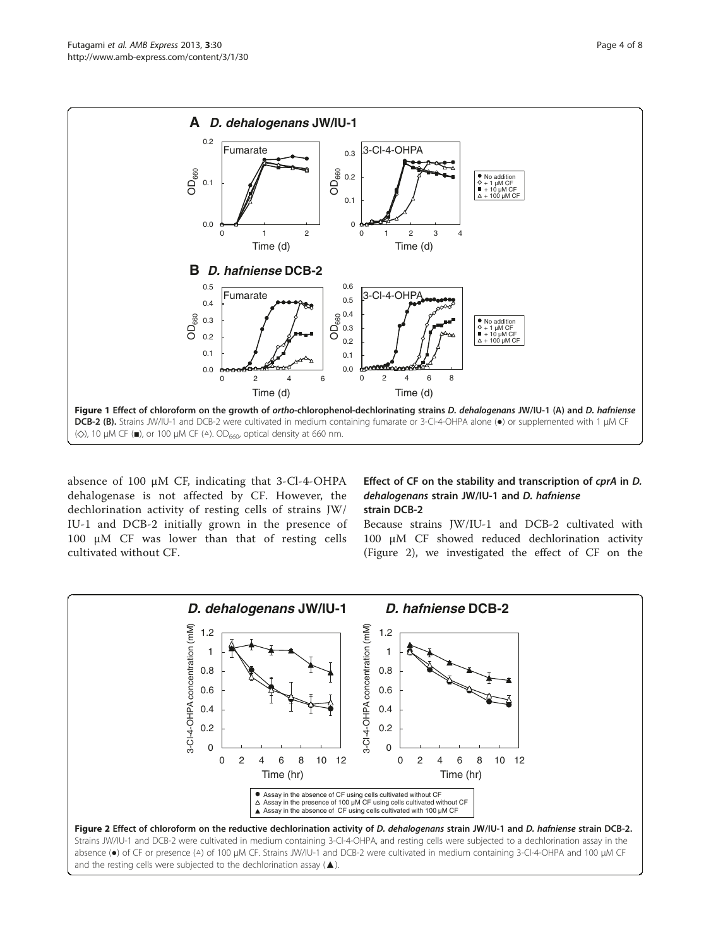<span id="page-3-0"></span>

absence of 100 μM CF, indicating that 3-Cl-4-OHPA dehalogenase is not affected by CF. However, the dechlorination activity of resting cells of strains JW/ IU-1 and DCB-2 initially grown in the presence of 100 μM CF was lower than that of resting cells cultivated without CF.

## Effect of CF on the stability and transcription of cprA in D. dehalogenans strain JW/IU-1 and D. hafniense strain DCB-2

Because strains JW/IU-1 and DCB-2 cultivated with 100 μM CF showed reduced dechlorination activity (Figure 2), we investigated the effect of CF on the

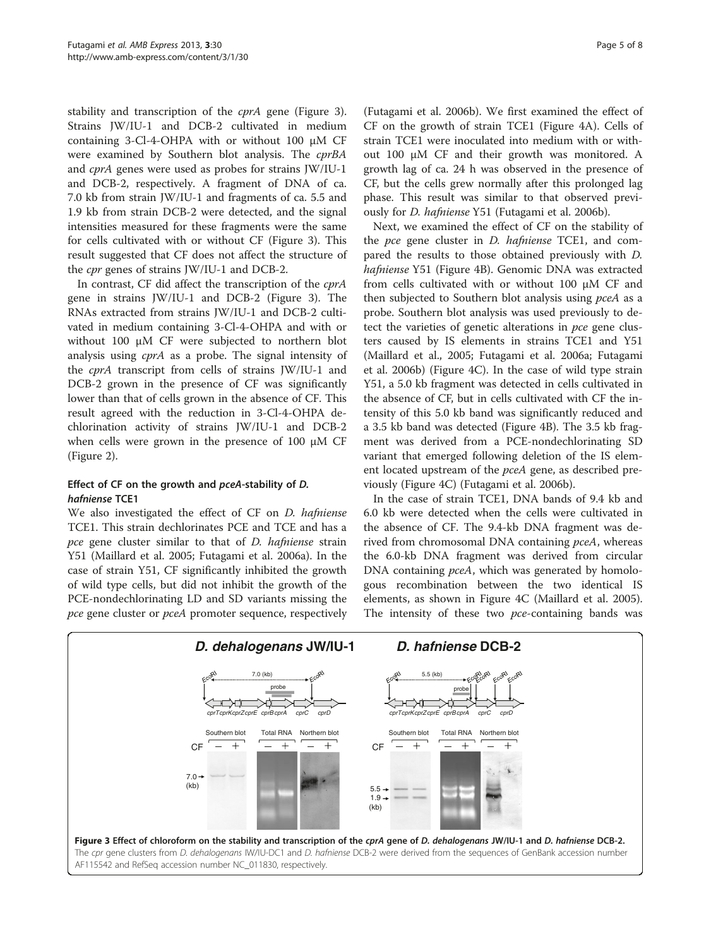<span id="page-4-0"></span>stability and transcription of the *cprA* gene (Figure 3). Strains JW/IU-1 and DCB-2 cultivated in medium containing 3-Cl-4-OHPA with or without 100 μM CF were examined by Southern blot analysis. The cprBA and cprA genes were used as probes for strains JW/IU-1 and DCB-2, respectively. A fragment of DNA of ca. 7.0 kb from strain JW/IU-1 and fragments of ca. 5.5 and 1.9 kb from strain DCB-2 were detected, and the signal intensities measured for these fragments were the same for cells cultivated with or without CF (Figure 3). This result suggested that CF does not affect the structure of the cpr genes of strains JW/IU-1 and DCB-2.

In contrast, CF did affect the transcription of the cprA gene in strains JW/IU-1 and DCB-2 (Figure 3). The RNAs extracted from strains JW/IU-1 and DCB-2 cultivated in medium containing 3-Cl-4-OHPA and with or without 100 μM CF were subjected to northern blot analysis using cprA as a probe. The signal intensity of the cprA transcript from cells of strains JW/IU-1 and DCB-2 grown in the presence of CF was significantly lower than that of cells grown in the absence of CF. This result agreed with the reduction in 3-Cl-4-OHPA dechlorination activity of strains JW/IU-1 and DCB-2 when cells were grown in the presence of 100 μM CF (Figure [2](#page-3-0)).

#### Effect of CF on the growth and pceA-stability of D. hafniense TCE1

We also investigated the effect of CF on D. hafniense TCE1. This strain dechlorinates PCE and TCE and has a pce gene cluster similar to that of *D. hafniense* strain Y51 (Maillard et al. [2005](#page-7-0); Futagami et al. [2006a](#page-6-0)). In the case of strain Y51, CF significantly inhibited the growth of wild type cells, but did not inhibit the growth of the PCE-nondechlorinating LD and SD variants missing the pce gene cluster or pceA promoter sequence, respectively

(Futagami et al. [2006b](#page-6-0)). We first examined the effect of CF on the growth of strain TCE1 (Figure [4](#page-5-0)A). Cells of strain TCE1 were inoculated into medium with or without 100 μM CF and their growth was monitored. A growth lag of ca. 24 h was observed in the presence of CF, but the cells grew normally after this prolonged lag phase. This result was similar to that observed previously for D. hafniense Y51 (Futagami et al. [2006b](#page-6-0)).

Next, we examined the effect of CF on the stability of the *pce* gene cluster in *D. hafniense* TCE1, and compared the results to those obtained previously with D. hafniense Y51 (Figure [4](#page-5-0)B). Genomic DNA was extracted from cells cultivated with or without 100 μM CF and then subjected to Southern blot analysis using pceA as a probe. Southern blot analysis was used previously to detect the varieties of genetic alterations in pce gene clusters caused by IS elements in strains TCE1 and Y51 (Maillard et al., [2005;](#page-7-0) Futagami et al. [2006a;](#page-6-0) Futagami et al. [2006b](#page-6-0)) (Figure [4](#page-5-0)C). In the case of wild type strain Y51, a 5.0 kb fragment was detected in cells cultivated in the absence of CF, but in cells cultivated with CF the intensity of this 5.0 kb band was significantly reduced and a 3.5 kb band was detected (Figure [4](#page-5-0)B). The 3.5 kb fragment was derived from a PCE-nondechlorinating SD variant that emerged following deletion of the IS element located upstream of the pceA gene, as described previously (Figure [4C](#page-5-0)) (Futagami et al. [2006b\)](#page-6-0).

In the case of strain TCE1, DNA bands of 9.4 kb and 6.0 kb were detected when the cells were cultivated in the absence of CF. The 9.4-kb DNA fragment was derived from chromosomal DNA containing pceA, whereas the 6.0-kb DNA fragment was derived from circular DNA containing *pceA*, which was generated by homologous recombination between the two identical IS elements, as shown in Figure [4C](#page-5-0) (Maillard et al. [2005](#page-7-0)). The intensity of these two *pce*-containing bands was

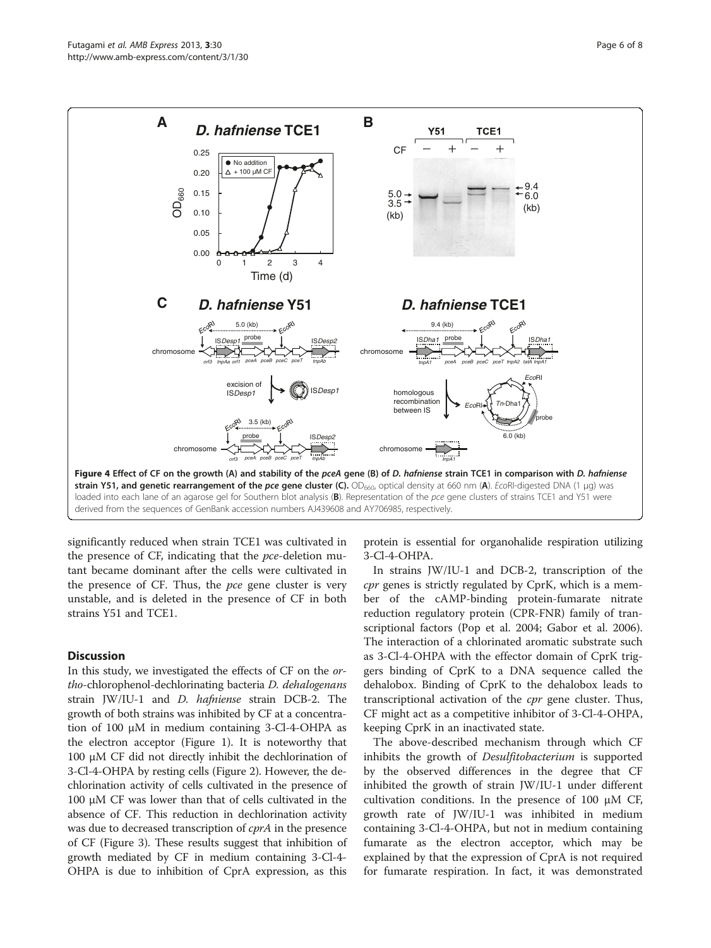<span id="page-5-0"></span>

significantly reduced when strain TCE1 was cultivated in the presence of CF, indicating that the pce-deletion mutant became dominant after the cells were cultivated in the presence of CF. Thus, the pce gene cluster is very unstable, and is deleted in the presence of CF in both strains Y51 and TCE1.

#### **Discussion**

In this study, we investigated the effects of CF on the ortho-chlorophenol-dechlorinating bacteria D. dehalogenans strain JW/IU-1 and D. hafniense strain DCB-2. The growth of both strains was inhibited by CF at a concentration of 100 μM in medium containing 3-Cl-4-OHPA as the electron acceptor (Figure [1](#page-3-0)). It is noteworthy that 100 μM CF did not directly inhibit the dechlorination of 3-Cl-4-OHPA by resting cells (Figure [2\)](#page-3-0). However, the dechlorination activity of cells cultivated in the presence of 100 μM CF was lower than that of cells cultivated in the absence of CF. This reduction in dechlorination activity was due to decreased transcription of *cprA* in the presence of CF (Figure [3\)](#page-4-0). These results suggest that inhibition of growth mediated by CF in medium containing 3-Cl-4- OHPA is due to inhibition of CprA expression, as this

protein is essential for organohalide respiration utilizing 3-Cl-4-OHPA.

In strains JW/IU-1 and DCB-2, transcription of the cpr genes is strictly regulated by CprK, which is a member of the cAMP-binding protein-fumarate nitrate reduction regulatory protein (CPR-FNR) family of transcriptional factors (Pop et al. [2004;](#page-7-0) Gabor et al. [2006](#page-6-0)). The interaction of a chlorinated aromatic substrate such as 3-Cl-4-OHPA with the effector domain of CprK triggers binding of CprK to a DNA sequence called the dehalobox. Binding of CprK to the dehalobox leads to transcriptional activation of the *cpr* gene cluster. Thus, CF might act as a competitive inhibitor of 3-Cl-4-OHPA, keeping CprK in an inactivated state.

The above-described mechanism through which CF inhibits the growth of *Desulfitobacterium* is supported by the observed differences in the degree that CF inhibited the growth of strain JW/IU-1 under different cultivation conditions. In the presence of 100 μM CF, growth rate of JW/IU-1 was inhibited in medium containing 3-Cl-4-OHPA, but not in medium containing fumarate as the electron acceptor, which may be explained by that the expression of CprA is not required for fumarate respiration. In fact, it was demonstrated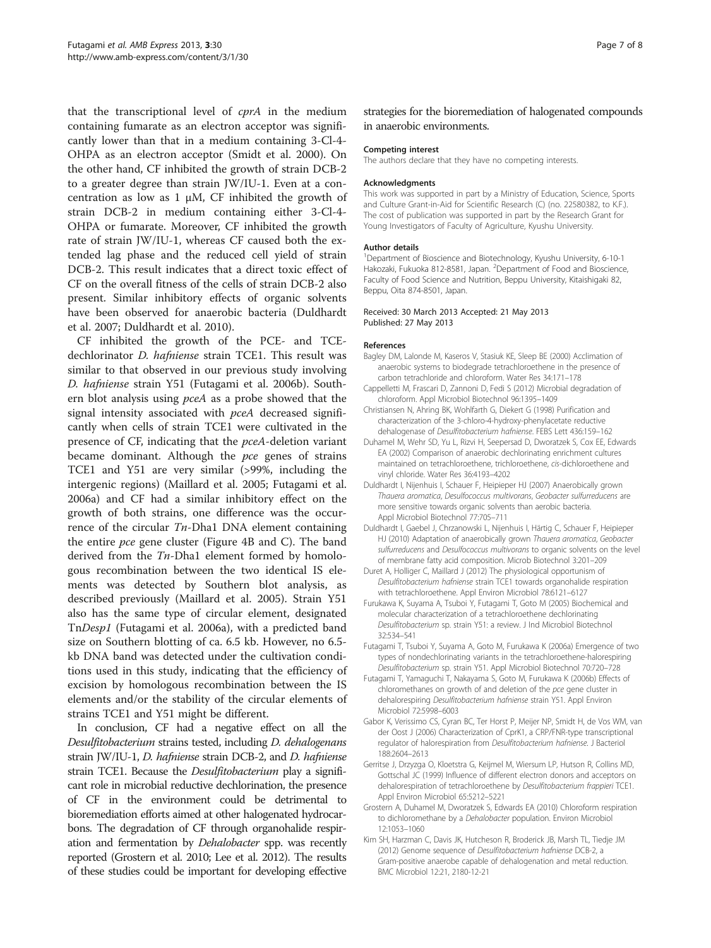<span id="page-6-0"></span>that the transcriptional level of cprA in the medium containing fumarate as an electron acceptor was significantly lower than that in a medium containing 3-Cl-4- OHPA as an electron acceptor (Smidt et al. [2000\)](#page-7-0). On the other hand, CF inhibited the growth of strain DCB-2 to a greater degree than strain JW/IU-1. Even at a concentration as low as  $1 \mu M$ , CF inhibited the growth of strain DCB-2 in medium containing either 3-Cl-4- OHPA or fumarate. Moreover, CF inhibited the growth rate of strain JW/IU-1, whereas CF caused both the extended lag phase and the reduced cell yield of strain DCB-2. This result indicates that a direct toxic effect of CF on the overall fitness of the cells of strain DCB-2 also present. Similar inhibitory effects of organic solvents have been observed for anaerobic bacteria (Duldhardt et al. 2007; Duldhardt et al. 2010).

CF inhibited the growth of the PCE- and TCEdechlorinator D. hafniense strain TCE1. This result was similar to that observed in our previous study involving D. hafniense strain Y51 (Futagami et al. 2006b). Southern blot analysis using pceA as a probe showed that the signal intensity associated with pceA decreased significantly when cells of strain TCE1 were cultivated in the presence of CF, indicating that the pceA-deletion variant became dominant. Although the pce genes of strains TCE1 and Y51 are very similar (>99%, including the intergenic regions) (Maillard et al. [2005;](#page-7-0) Futagami et al. 2006a) and CF had a similar inhibitory effect on the growth of both strains, one difference was the occurrence of the circular  $T_n$ -Dha1 DNA element containing the entire pce gene cluster (Figure [4](#page-5-0)B and C). The band derived from the *Tn*-Dha1 element formed by homologous recombination between the two identical IS elements was detected by Southern blot analysis, as described previously (Maillard et al. [2005](#page-7-0)). Strain Y51 also has the same type of circular element, designated TnDesp1 (Futagami et al. 2006a), with a predicted band size on Southern blotting of ca. 6.5 kb. However, no 6.5 kb DNA band was detected under the cultivation conditions used in this study, indicating that the efficiency of excision by homologous recombination between the IS elements and/or the stability of the circular elements of strains TCE1 and Y51 might be different.

In conclusion, CF had a negative effect on all the Desulfitobacterium strains tested, including D. dehalogenans strain JW/IU-1, D. hafniense strain DCB-2, and D. hafniense strain TCE1. Because the *Desulfitobacterium* play a significant role in microbial reductive dechlorination, the presence of CF in the environment could be detrimental to bioremediation efforts aimed at other halogenated hydrocarbons. The degradation of CF through organohalide respiration and fermentation by Dehalobacter spp. was recently reported (Grostern et al. 2010; Lee et al. [2012](#page-7-0)). The results of these studies could be important for developing effective strategies for the bioremediation of halogenated compounds in anaerobic environments.

#### Competing interest

The authors declare that they have no competing interests.

#### Acknowledgments

This work was supported in part by a Ministry of Education, Science, Sports and Culture Grant-in-Aid for Scientific Research (C) (no. 22580382, to K.F.). The cost of publication was supported in part by the Research Grant for Young Investigators of Faculty of Agriculture, Kyushu University.

#### Author details

<sup>1</sup>Department of Bioscience and Biotechnology, Kyushu University, 6-10-1 Hakozaki, Fukuoka 812-8581, Japan. <sup>2</sup>Department of Food and Bioscience, Faculty of Food Science and Nutrition, Beppu University, Kitaishigaki 82, Beppu, Oita 874-8501, Japan.

#### Received: 30 March 2013 Accepted: 21 May 2013 Published: 27 May 2013

#### References

- Bagley DM, Lalonde M, Kaseros V, Stasiuk KE, Sleep BE (2000) Acclimation of anaerobic systems to biodegrade tetrachloroethene in the presence of carbon tetrachloride and chloroform. Water Res 34:171–178
- Cappelletti M, Frascari D, Zannoni D, Fedi S (2012) Microbial degradation of chloroform. Appl Microbiol Biotechnol 96:1395–1409
- Christiansen N, Ahring BK, Wohlfarth G, Diekert G (1998) Purification and characterization of the 3-chloro-4-hydroxy-phenylacetate reductive dehalogenase of Desulfitobacterium hafniense. FEBS Lett 436:159–162
- Duhamel M, Wehr SD, Yu L, Rizvi H, Seepersad D, Dworatzek S, Cox EE, Edwards EA (2002) Comparison of anaerobic dechlorinating enrichment cultures maintained on tetrachloroethene, trichloroethene, cis-dichloroethene and vinyl chloride. Water Res 36:4193–4202
- Duldhardt I, Nijenhuis I, Schauer F, Heipieper HJ (2007) Anaerobically grown Thauera aromatica, Desulfococcus multivorans, Geobacter sulfurreducens are more sensitive towards organic solvents than aerobic bacteria. Appl Microbiol Biotechnol 77:705–711
- Duldhardt I, Gaebel J, Chrzanowski L, Nijenhuis I, Härtig C, Schauer F, Heipieper HJ (2010) Adaptation of anaerobically grown Thauera aromatica, Geobacter sulfurreducens and Desulfococcus multivorans to organic solvents on the level of membrane fatty acid composition. Microb Biotechnol 3:201–209
- Duret A, Holliger C, Maillard J (2012) The physiological opportunism of Desulfitobacterium hafniense strain TCE1 towards organohalide respiration with tetrachloroethene. Appl Environ Microbiol 78:6121–6127
- Furukawa K, Suyama A, Tsuboi Y, Futagami T, Goto M (2005) Biochemical and molecular characterization of a tetrachloroethene dechlorinating Desulfitobacterium sp. strain Y51: a review. J Ind Microbiol Biotechnol 32:534–541
- Futagami T, Tsuboi Y, Suyama A, Goto M, Furukawa K (2006a) Emergence of two types of nondechlorinating variants in the tetrachloroethene-halorespiring Desulfitobacterium sp. strain Y51. Appl Microbiol Biotechnol 70:720–728
- Futagami T, Yamaguchi T, Nakayama S, Goto M, Furukawa K (2006b) Effects of chloromethanes on growth of and deletion of the pce gene cluster in dehalorespiring Desulfitobacterium hafniense strain Y51. Appl Environ Microbiol 72:5998–6003
- Gabor K, Verissimo CS, Cyran BC, Ter Horst P, Meijer NP, Smidt H, de Vos WM, van der Oost J (2006) Characterization of CprK1, a CRP/FNR-type transcriptional regulator of halorespiration from Desulfitobacterium hafniense. J Bacteriol 188:2604–2613
- Gerritse J, Drzyzga O, Kloetstra G, Keijmel M, Wiersum LP, Hutson R, Collins MD, Gottschal JC (1999) Influence of different electron donors and acceptors on dehalorespiration of tetrachloroethene by Desulfitobacterium frappieri TCE1. Appl Environ Microbiol 65:5212–5221
- Grostern A, Duhamel M, Dworatzek S, Edwards EA (2010) Chloroform respiration to dichloromethane by a Dehalobacter population. Environ Microbiol 12:1053–1060
- Kim SH, Harzman C, Davis JK, Hutcheson R, Broderick JB, Marsh TL, Tiedje JM (2012) Genome sequence of Desulfitobacterium hafniense DCB-2, a Gram-positive anaerobe capable of dehalogenation and metal reduction. BMC Microbiol 12:21, 2180-12-21